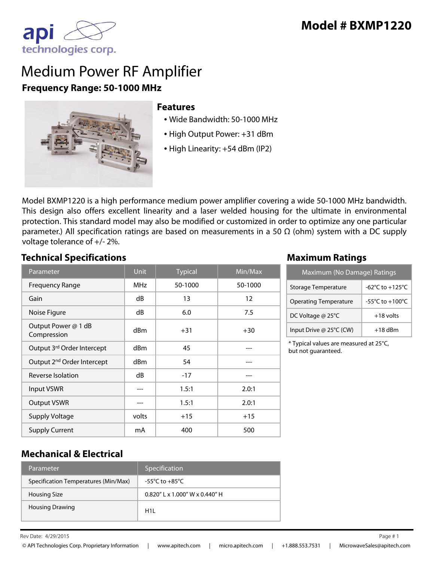

## Medium Power RF Amplifier **Frequency Range: 50-1000 MHz**



#### **Features**

- Wide Bandwidth: 50-1000 MHz
- High Output Power: +31 dBm
- High Linearity: +54 dBm (IP2)

Model BXMP1220 is a high performance medium power amplifier covering a wide 50-1000 MHz bandwidth. This design also offers excellent linearity and a laser welded housing for the ultimate in environmental protection. This standard model may also be modified or customized in order to optimize any one particular parameter.) All specification ratings are based on measurements in a 50  $\Omega$  (ohm) system with a DC supply voltage tolerance of +/- 2%.

#### **Technical Specifications Maximum Ratings**

| Parameter                              | <b>Unit</b> | <b>Typical</b> | Min/Max |
|----------------------------------------|-------------|----------------|---------|
| <b>Frequency Range</b>                 | MHz         | 50-1000        | 50-1000 |
| Gain                                   | dB          | 13             | 12      |
| Noise Figure                           | dB          | 6.0            | 7.5     |
| Output Power @ 1 dB<br>Compression     | dBm         | $+31$          | $+30$   |
| Output 3rd Order Intercept             | dBm         | 45             |         |
| Output 2 <sup>nd</sup> Order Intercept | dBm         | 54             |         |
| Reverse Isolation                      | dB          | $-17$          |         |
| <b>Input VSWR</b>                      |             | 1.5:1          | 2.0:1   |
| <b>Output VSWR</b>                     |             | 1.5:1          | 2.0:1   |
| <b>Supply Voltage</b>                  | volts       | $+15$          | $+15$   |
| <b>Supply Current</b>                  | mA          | 400            | 500     |

| Maximum (No Damage) Ratings  |                 |  |
|------------------------------|-----------------|--|
| Storage Temperature          | -62°C to +125°C |  |
| <b>Operating Temperature</b> | -55°C to +100°C |  |
| DC Voltage @ 25°C            | $+18$ volts     |  |
| Input Drive @ 25°C (CW)      | $+18$ dBm       |  |

\* Typical values are measured at 25°C, but not guaranteed.

#### **Mechanical & Electrical**

| Parameter                            | Specification                     |
|--------------------------------------|-----------------------------------|
| Specification Temperatures (Min/Max) | -55°C to $+85$ °C                 |
| <b>Housing Size</b>                  | $0.820''$   x 1.000" W x 0.440" H |
| <b>Housing Drawing</b>               | H11                               |

 $\mathsf{Re} \mathsf{v}$  Date:  $4/29/2015$  Page # 1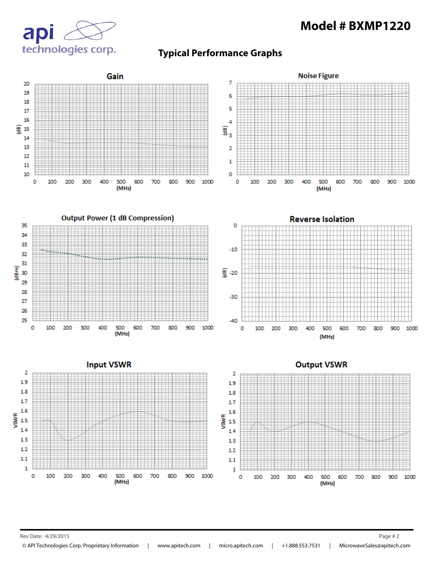



#### **Typical Performance Graphs**



Rev Date: 4/29/2015 Page # 2